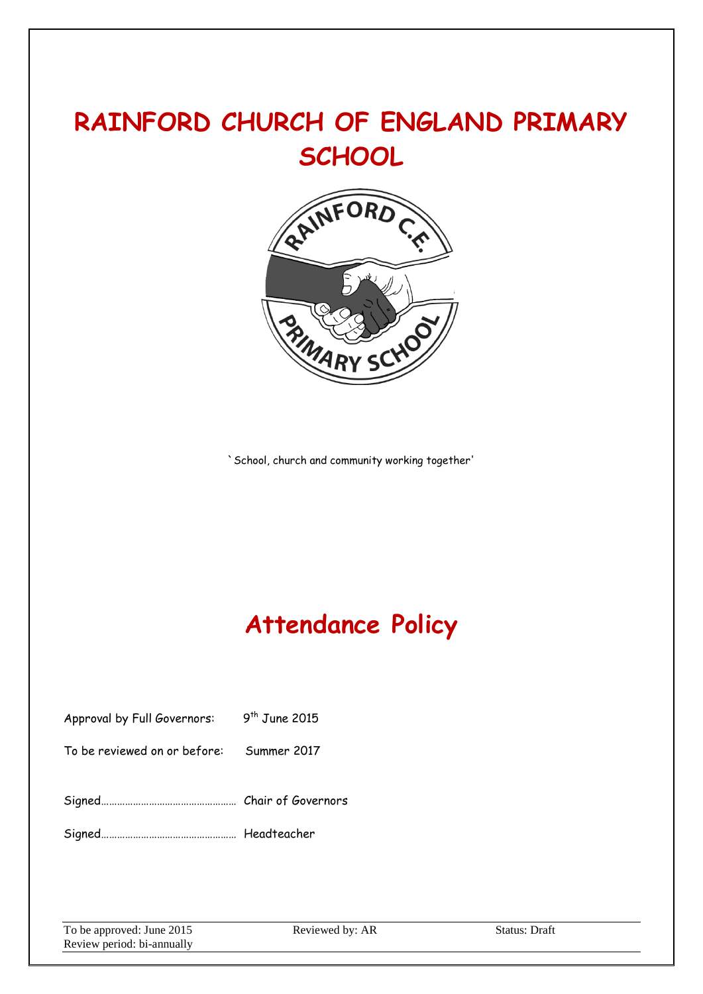# **RAINFORD CHURCH OF ENGLAND PRIMARY SCHOOL**



`School, church and community working together'

# **Attendance Policy**

| Approval by Full Governors: 9 <sup>th</sup> June 2015 |  |
|-------------------------------------------------------|--|
| To be reviewed on or before: Summer 2017              |  |
|                                                       |  |
|                                                       |  |

To be approved: June 2015 Reviewed by: AR Status: Draft Review period: bi-annually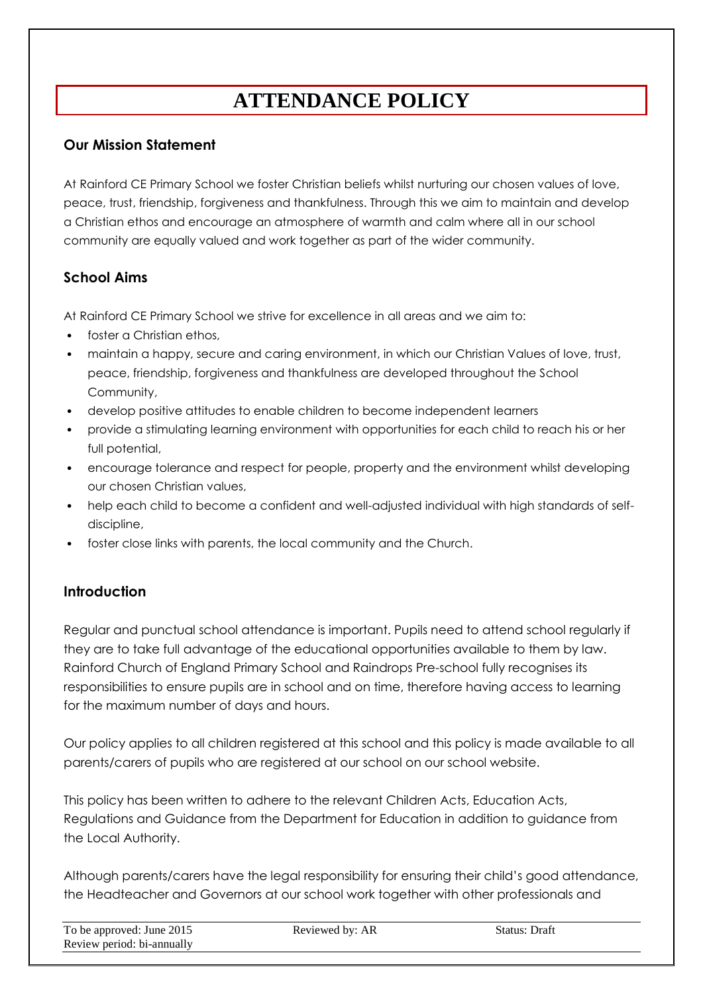## **ATTENDANCE POLICY**

#### **Our Mission Statement**

At Rainford CE Primary School we foster Christian beliefs whilst nurturing our chosen values of love, peace, trust, friendship, forgiveness and thankfulness. Through this we aim to maintain and develop a Christian ethos and encourage an atmosphere of warmth and calm where all in our school community are equally valued and work together as part of the wider community.

#### **School Aims**

At Rainford CE Primary School we strive for excellence in all areas and we aim to:

- foster a Christian ethos,
- maintain a happy, secure and caring environment, in which our Christian Values of love, trust, peace, friendship, forgiveness and thankfulness are developed throughout the School Community,
- develop positive attitudes to enable children to become independent learners
- provide a stimulating learning environment with opportunities for each child to reach his or her full potential,
- encourage tolerance and respect for people, property and the environment whilst developing our chosen Christian values,
- help each child to become a confident and well-adjusted individual with high standards of selfdiscipline,
- foster close links with parents, the local community and the Church.

#### **Introduction**

Regular and punctual school attendance is important. Pupils need to attend school regularly if they are to take full advantage of the educational opportunities available to them by law. Rainford Church of England Primary School and Raindrops Pre-school fully recognises its responsibilities to ensure pupils are in school and on time, therefore having access to learning for the maximum number of days and hours.

Our policy applies to all children registered at this school and this policy is made available to all parents/carers of pupils who are registered at our school on our school website.

This policy has been written to adhere to the relevant Children Acts, Education Acts, Regulations and Guidance from the Department for Education in addition to guidance from the Local Authority.

Although parents/carers have the legal responsibility for ensuring their child's good attendance, the Headteacher and Governors at our school work together with other professionals and

| To be approved: June 2015  | Reviewed by: AR | Status: Draft |
|----------------------------|-----------------|---------------|
| Review period: bi-annually |                 |               |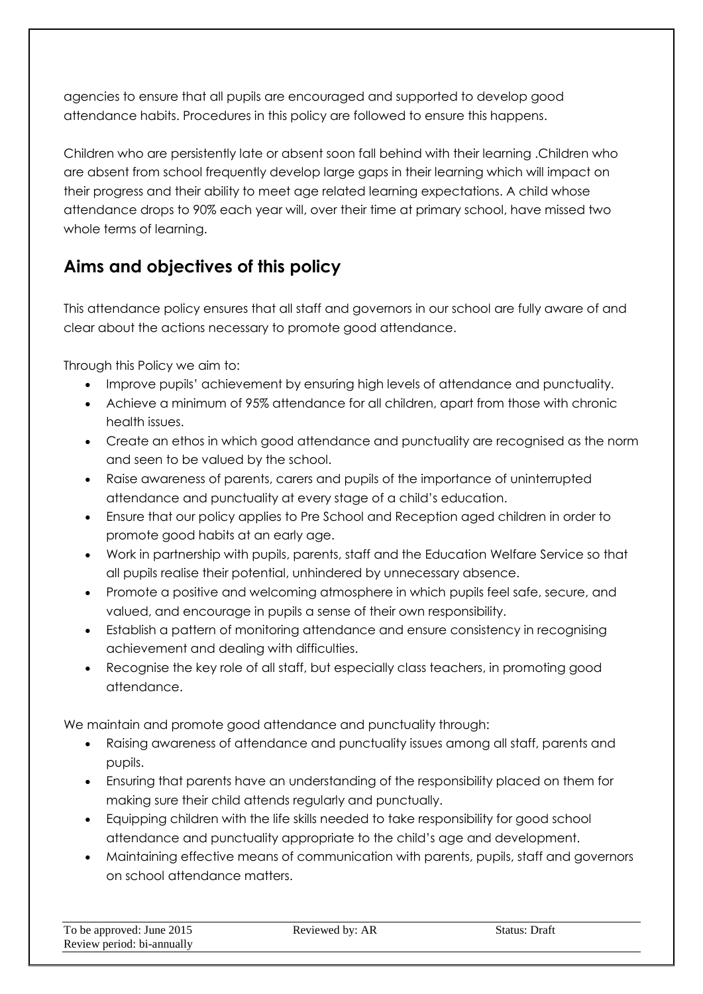agencies to ensure that all pupils are encouraged and supported to develop good attendance habits. Procedures in this policy are followed to ensure this happens.

Children who are persistently late or absent soon fall behind with their learning .Children who are absent from school frequently develop large gaps in their learning which will impact on their progress and their ability to meet age related learning expectations. A child whose attendance drops to 90% each year will, over their time at primary school, have missed two whole terms of learning.

## **Aims and objectives of this policy**

This attendance policy ensures that all staff and governors in our school are fully aware of and clear about the actions necessary to promote good attendance.

Through this Policy we aim to:

- Improve pupils' achievement by ensuring high levels of attendance and punctuality.
- Achieve a minimum of 95% attendance for all children, apart from those with chronic health issues.
- Create an ethos in which good attendance and punctuality are recognised as the norm and seen to be valued by the school.
- Raise awareness of parents, carers and pupils of the importance of uninterrupted attendance and punctuality at every stage of a child's education.
- Ensure that our policy applies to Pre School and Reception aged children in order to promote good habits at an early age.
- Work in partnership with pupils, parents, staff and the Education Welfare Service so that all pupils realise their potential, unhindered by unnecessary absence.
- Promote a positive and welcoming atmosphere in which pupils feel safe, secure, and valued, and encourage in pupils a sense of their own responsibility.
- Establish a pattern of monitoring attendance and ensure consistency in recognising achievement and dealing with difficulties.
- Recognise the key role of all staff, but especially class teachers, in promoting good attendance.

We maintain and promote good attendance and punctuality through:

- Raising awareness of attendance and punctuality issues among all staff, parents and pupils.
- Ensuring that parents have an understanding of the responsibility placed on them for making sure their child attends regularly and punctually.
- Equipping children with the life skills needed to take responsibility for good school attendance and punctuality appropriate to the child's age and development.
- Maintaining effective means of communication with parents, pupils, staff and governors on school attendance matters.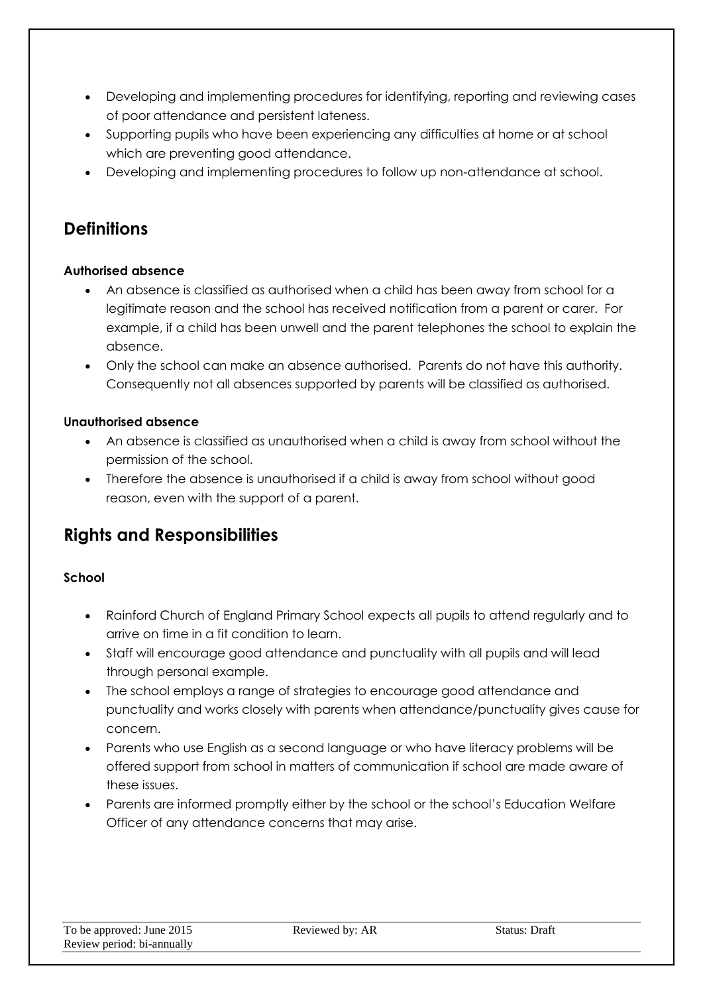- Developing and implementing procedures for identifying, reporting and reviewing cases of poor attendance and persistent lateness.
- Supporting pupils who have been experiencing any difficulties at home or at school which are preventing good attendance.
- Developing and implementing procedures to follow up non-attendance at school.

## **Definitions**

#### **Authorised absence**

- An absence is classified as authorised when a child has been away from school for a legitimate reason and the school has received notification from a parent or carer. For example, if a child has been unwell and the parent telephones the school to explain the absence.
- Only the school can make an absence authorised. Parents do not have this authority. Consequently not all absences supported by parents will be classified as authorised.

#### **Unauthorised absence**

- An absence is classified as unauthorised when a child is away from school without the permission of the school.
- Therefore the absence is unauthorised if a child is away from school without good reason, even with the support of a parent.

## **Rights and Responsibilities**

#### **School**

- Rainford Church of England Primary School expects all pupils to attend regularly and to arrive on time in a fit condition to learn.
- Staff will encourage good attendance and punctuality with all pupils and will lead through personal example.
- The school employs a range of strategies to encourage good attendance and punctuality and works closely with parents when attendance/punctuality gives cause for concern.
- Parents who use English as a second language or who have literacy problems will be offered support from school in matters of communication if school are made aware of these issues.
- Parents are informed promptly either by the school or the school's Education Welfare Officer of any attendance concerns that may arise.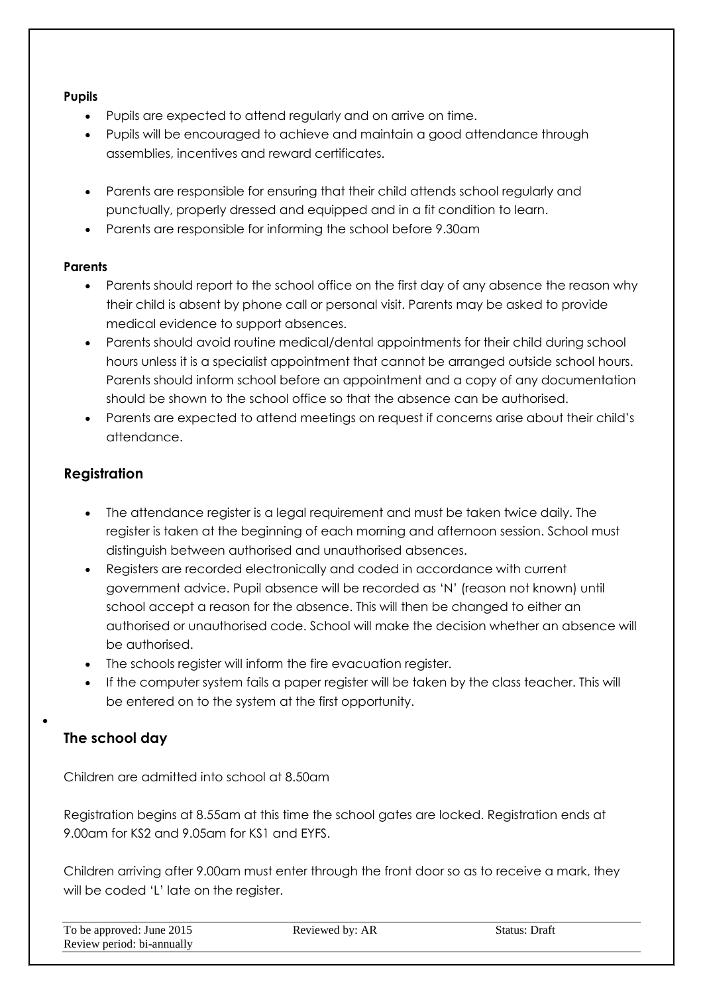#### **Pupils**

- Pupils are expected to attend regularly and on arrive on time.
- Pupils will be encouraged to achieve and maintain a good attendance through assemblies, incentives and reward certificates.
- Parents are responsible for ensuring that their child attends school regularly and punctually, properly dressed and equipped and in a fit condition to learn.
- Parents are responsible for informing the school before 9.30am

#### **Parents**

- Parents should report to the school office on the first day of any absence the reason why their child is absent by phone call or personal visit. Parents may be asked to provide medical evidence to support absences.
- Parents should avoid routine medical/dental appointments for their child during school hours unless it is a specialist appointment that cannot be arranged outside school hours. Parents should inform school before an appointment and a copy of any documentation should be shown to the school office so that the absence can be authorised.
- Parents are expected to attend meetings on request if concerns arise about their child's attendance.

#### **Registration**

- The attendance register is a legal requirement and must be taken twice daily. The register is taken at the beginning of each morning and afternoon session. School must distinguish between authorised and unauthorised absences.
- Registers are recorded electronically and coded in accordance with current government advice. Pupil absence will be recorded as 'N' (reason not known) until school accept a reason for the absence. This will then be changed to either an authorised or unauthorised code. School will make the decision whether an absence will be authorised.
- The schools register will inform the fire evacuation register.
- If the computer system fails a paper register will be taken by the class teacher. This will be entered on to the system at the first opportunity.

#### **The school day**

 $\bullet$ 

Children are admitted into school at 8.50am

Registration begins at 8.55am at this time the school gates are locked. Registration ends at 9.00am for KS2 and 9.05am for KS1 and EYFS.

Children arriving after 9.00am must enter through the front door so as to receive a mark, they will be coded 'L' late on the register.

| To be approved: June 2015  | Reviewed by: AR | Status: Draft |
|----------------------------|-----------------|---------------|
| Review period: bi-annually |                 |               |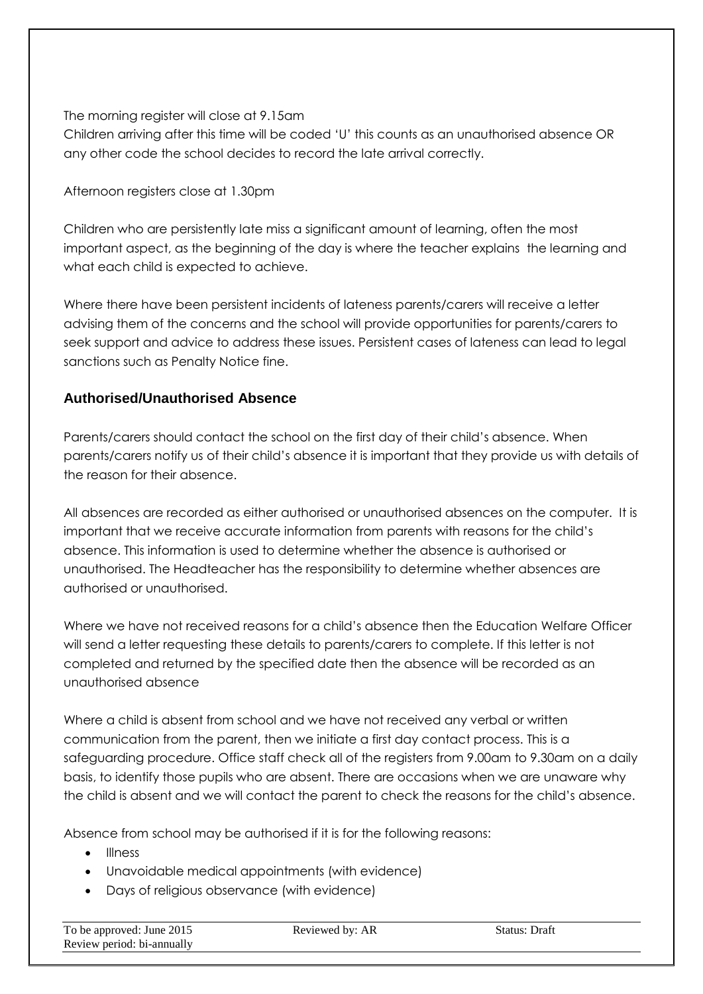The morning register will close at 9.15am

Children arriving after this time will be coded 'U' this counts as an unauthorised absence OR any other code the school decides to record the late arrival correctly.

Afternoon registers close at 1.30pm

Children who are persistently late miss a significant amount of learning, often the most important aspect, as the beginning of the day is where the teacher explains the learning and what each child is expected to achieve.

Where there have been persistent incidents of lateness parents/carers will receive a letter advising them of the concerns and the school will provide opportunities for parents/carers to seek support and advice to address these issues. Persistent cases of lateness can lead to legal sanctions such as Penalty Notice fine.

#### **Authorised/Unauthorised Absence**

Parents/carers should contact the school on the first day of their child's absence. When parents/carers notify us of their child's absence it is important that they provide us with details of the reason for their absence.

All absences are recorded as either authorised or unauthorised absences on the computer. It is important that we receive accurate information from parents with reasons for the child's absence. This information is used to determine whether the absence is authorised or unauthorised. The Headteacher has the responsibility to determine whether absences are authorised or unauthorised.

Where we have not received reasons for a child's absence then the Education Welfare Officer will send a letter requesting these details to parents/carers to complete. If this letter is not completed and returned by the specified date then the absence will be recorded as an unauthorised absence

Where a child is absent from school and we have not received any verbal or written communication from the parent, then we initiate a first day contact process. This is a safeguarding procedure. Office staff check all of the registers from 9.00am to 9.30am on a daily basis, to identify those pupils who are absent. There are occasions when we are unaware why the child is absent and we will contact the parent to check the reasons for the child's absence.

Absence from school may be authorised if it is for the following reasons:

- Illness
- Unavoidable medical appointments (with evidence)
- Days of religious observance (with evidence)

| To be approved: June 2015  | Reviewed by: AR | Status: Draft |
|----------------------------|-----------------|---------------|
| Review period: bi-annually |                 |               |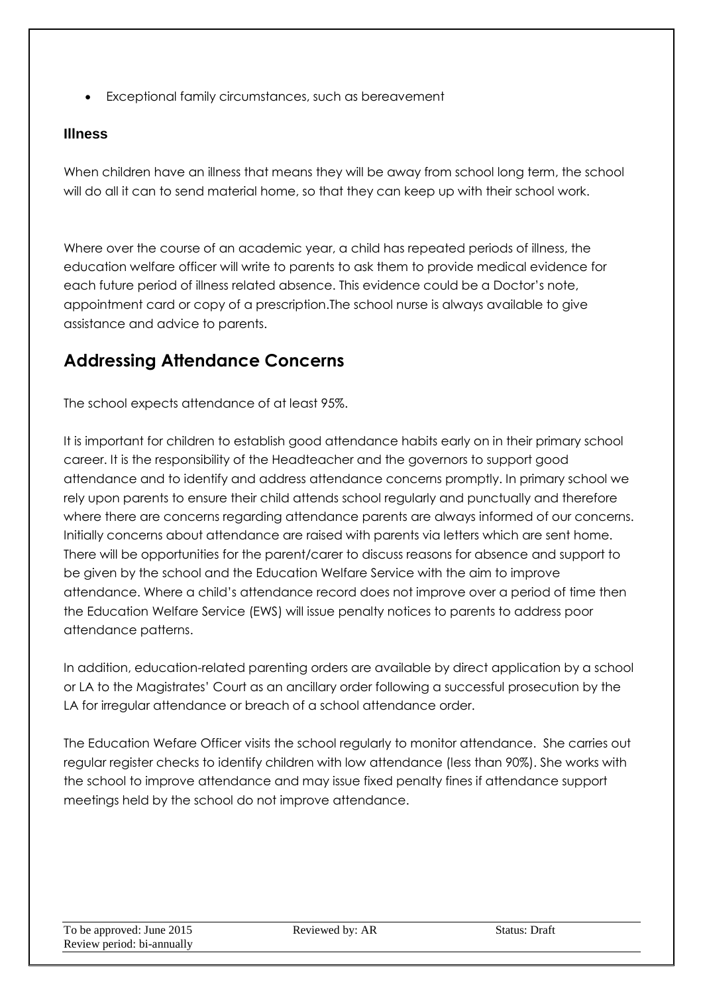Exceptional family circumstances, such as bereavement

#### **Illness**

When children have an illness that means they will be away from school long term, the school will do all it can to send material home, so that they can keep up with their school work.

Where over the course of an academic year, a child has repeated periods of illness, the education welfare officer will write to parents to ask them to provide medical evidence for each future period of illness related absence. This evidence could be a Doctor's note, appointment card or copy of a prescription.The school nurse is always available to give assistance and advice to parents.

## **Addressing Attendance Concerns**

The school expects attendance of at least 95%.

It is important for children to establish good attendance habits early on in their primary school career. It is the responsibility of the Headteacher and the governors to support good attendance and to identify and address attendance concerns promptly. In primary school we rely upon parents to ensure their child attends school regularly and punctually and therefore where there are concerns regarding attendance parents are always informed of our concerns. Initially concerns about attendance are raised with parents via letters which are sent home. There will be opportunities for the parent/carer to discuss reasons for absence and support to be given by the school and the Education Welfare Service with the aim to improve attendance. Where a child's attendance record does not improve over a period of time then the Education Welfare Service (EWS) will issue penalty notices to parents to address poor attendance patterns.

In addition, education-related parenting orders are available by direct application by a school or LA to the Magistrates' Court as an ancillary order following a successful prosecution by the LA for irregular attendance or breach of a school attendance order.

The Education Wefare Officer visits the school regularly to monitor attendance. She carries out regular register checks to identify children with low attendance (less than 90%). She works with the school to improve attendance and may issue fixed penalty fines if attendance support meetings held by the school do not improve attendance.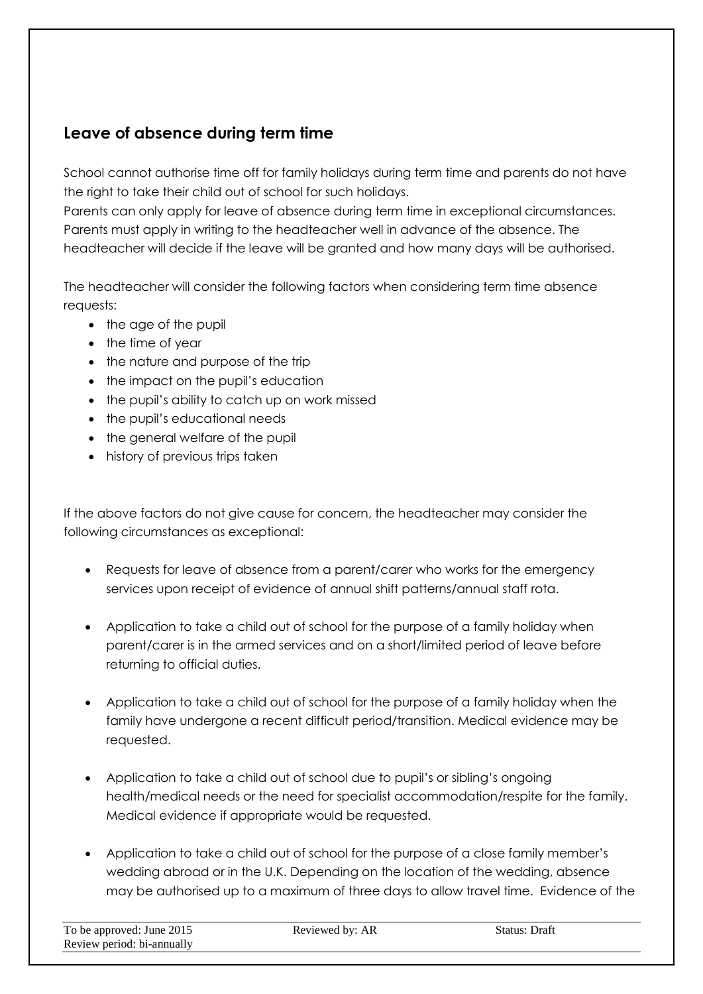## **Leave of absence during term time**

School cannot authorise time off for family holidays during term time and parents do not have the right to take their child out of school for such holidays.

Parents can only apply for leave of absence during term time in exceptional circumstances. Parents must apply in writing to the headteacher well in advance of the absence. The headteacher will decide if the leave will be granted and how many days will be authorised.

The headteacher will consider the following factors when considering term time absence requests:

- the age of the pupil
- the time of year
- the nature and purpose of the trip
- the impact on the pupil's education
- the pupil's ability to catch up on work missed
- the pupil's educational needs
- the general welfare of the pupil
- history of previous trips taken

If the above factors do not give cause for concern, the headteacher may consider the following circumstances as exceptional:

- Requests for leave of absence from a parent/carer who works for the emergency services upon receipt of evidence of annual shift patterns/annual staff rota.
- Application to take a child out of school for the purpose of a family holiday when parent/carer is in the armed services and on a short/limited period of leave before returning to official duties.
- Application to take a child out of school for the purpose of a family holiday when the family have undergone a recent difficult period/transition. Medical evidence may be requested.
- Application to take a child out of school due to pupil's or sibling's ongoing health/medical needs or the need for specialist accommodation/respite for the family. Medical evidence if appropriate would be requested.
- Application to take a child out of school for the purpose of a close family member's wedding abroad or in the U.K. Depending on the location of the wedding, absence may be authorised up to a maximum of three days to allow travel time. Evidence of the

| To be approved: June 2015  | Reviewed by: AR | Status: Draft |
|----------------------------|-----------------|---------------|
| Review period: bi-annually |                 |               |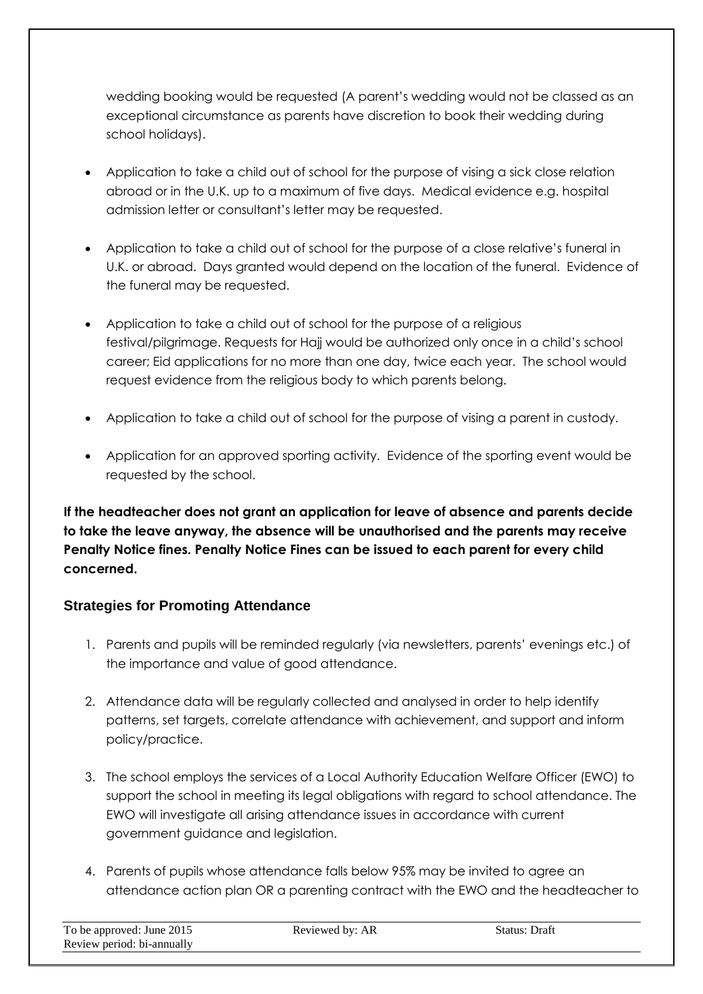wedding booking would be requested (A parent's wedding would not be classed as an exceptional circumstance as parents have discretion to book their wedding during school holidays).

- Application to take a child out of school for the purpose of vising a sick close relation abroad or in the U.K. up to a maximum of five days. Medical evidence e.g. hospital admission letter or consultant's letter may be requested.
- Application to take a child out of school for the purpose of a close relative's funeral in U.K. or abroad. Days granted would depend on the location of the funeral. Evidence of the funeral may be requested.
- Application to take a child out of school for the purpose of a religious festival/pilgrimage. Requests for Hajj would be authorized only once in a child's school career; Eid applications for no more than one day, twice each year. The school would request evidence from the religious body to which parents belong.
- Application to take a child out of school for the purpose of vising a parent in custody.
- Application for an approved sporting activity. Evidence of the sporting event would be requested by the school.

**If the headteacher does not grant an application for leave of absence and parents decide to take the leave anyway, the absence will be unauthorised and the parents may receive Penalty Notice fines. Penalty Notice Fines can be issued to each parent for every child concerned.**

#### **Strategies for Promoting Attendance**

- 1. Parents and pupils will be reminded regularly (via newsletters, parents' evenings etc.) of the importance and value of good attendance.
- 2. Attendance data will be regularly collected and analysed in order to help identify patterns, set targets, correlate attendance with achievement, and support and inform policy/practice.
- 3. The school employs the services of a Local Authority Education Welfare Officer (EWO) to support the school in meeting its legal obligations with regard to school attendance. The EWO will investigate all arising attendance issues in accordance with current government guidance and legislation.
- 4. Parents of pupils whose attendance falls below 95% may be invited to agree an attendance action plan OR a parenting contract with the EWO and the headteacher to

| To be approved: June 2015  | Reviewed by: AR | Status: Draft |
|----------------------------|-----------------|---------------|
| Review period: bi-annually |                 |               |